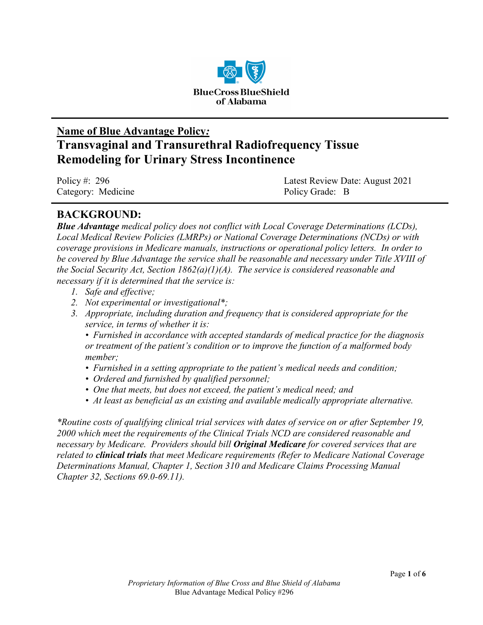

# **Name of Blue Advantage Policy***:* **Transvaginal and Transurethral Radiofrequency Tissue Remodeling for Urinary Stress Incontinence**

| Policy #: 296      | Latest Review Date: August 2021 |
|--------------------|---------------------------------|
| Category: Medicine | Policy Grade: B                 |

### **BACKGROUND:**

*Blue Advantage medical policy does not conflict with Local Coverage Determinations (LCDs), Local Medical Review Policies (LMRPs) or National Coverage Determinations (NCDs) or with coverage provisions in Medicare manuals, instructions or operational policy letters. In order to be covered by Blue Advantage the service shall be reasonable and necessary under Title XVIII of the Social Security Act, Section 1862(a)(1)(A). The service is considered reasonable and necessary if it is determined that the service is:*

- *1. Safe and effective;*
- *2. Not experimental or investigational\*;*
- *3. Appropriate, including duration and frequency that is considered appropriate for the service, in terms of whether it is:*

*• Furnished in accordance with accepted standards of medical practice for the diagnosis or treatment of the patient's condition or to improve the function of a malformed body member;*

- *Furnished in a setting appropriate to the patient's medical needs and condition;*
- *Ordered and furnished by qualified personnel;*
- *One that meets, but does not exceed, the patient's medical need; and*
- *At least as beneficial as an existing and available medically appropriate alternative.*

*\*Routine costs of qualifying clinical trial services with dates of service on or after September 19, 2000 which meet the requirements of the Clinical Trials NCD are considered reasonable and necessary by Medicare. Providers should bill Original Medicare for covered services that are related to clinical trials that meet Medicare requirements (Refer to Medicare National Coverage Determinations Manual, Chapter 1, Section 310 and Medicare Claims Processing Manual Chapter 32, Sections 69.0-69.11).*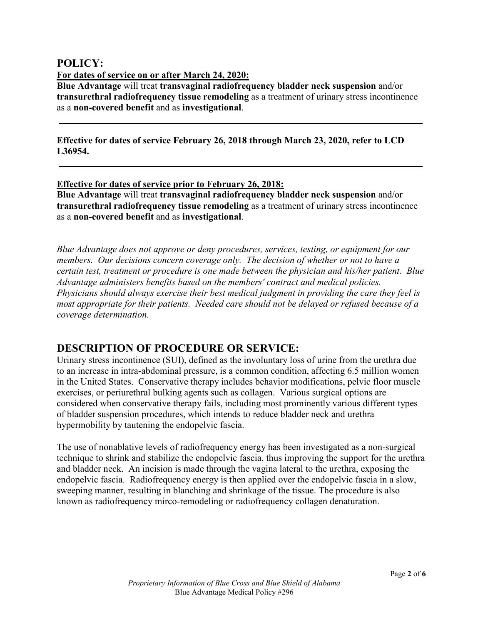### **POLICY:**

**For dates of service on or after March 24, 2020:**

**Blue Advantage** will treat **transvaginal radiofrequency bladder neck suspension** and/or **transurethral radiofrequency tissue remodeling** as a treatment of urinary stress incontinence as a **non-covered benefit** and as **investigational**.

**Effective for dates of service February 26, 2018 through March 23, 2020, refer to LCD L36954.**

#### **Effective for dates of service prior to February 26, 2018:**

**Blue Advantage** will treat **transvaginal radiofrequency bladder neck suspension** and/or **transurethral radiofrequency tissue remodeling** as a treatment of urinary stress incontinence as a **non-covered benefit** and as **investigational**.

*Blue Advantage does not approve or deny procedures, services, testing, or equipment for our members. Our decisions concern coverage only. The decision of whether or not to have a certain test, treatment or procedure is one made between the physician and his/her patient. Blue Advantage administers benefits based on the members' contract and medical policies. Physicians should always exercise their best medical judgment in providing the care they feel is most appropriate for their patients. Needed care should not be delayed or refused because of a coverage determination.*

### **DESCRIPTION OF PROCEDURE OR SERVICE:**

Urinary stress incontinence (SUI), defined as the involuntary loss of urine from the urethra due to an increase in intra-abdominal pressure, is a common condition, affecting 6.5 million women in the United States. Conservative therapy includes behavior modifications, pelvic floor muscle exercises, or periurethral bulking agents such as collagen. Various surgical options are considered when conservative therapy fails, including most prominently various different types of bladder suspension procedures, which intends to reduce bladder neck and urethra hypermobility by tautening the endopelvic fascia.

The use of nonablative levels of radiofrequency energy has been investigated as a non-surgical technique to shrink and stabilize the endopelvic fascia, thus improving the support for the urethra and bladder neck. An incision is made through the vagina lateral to the urethra, exposing the endopelvic fascia. Radiofrequency energy is then applied over the endopelvic fascia in a slow, sweeping manner, resulting in blanching and shrinkage of the tissue. The procedure is also known as radiofrequency mirco-remodeling or radiofrequency collagen denaturation.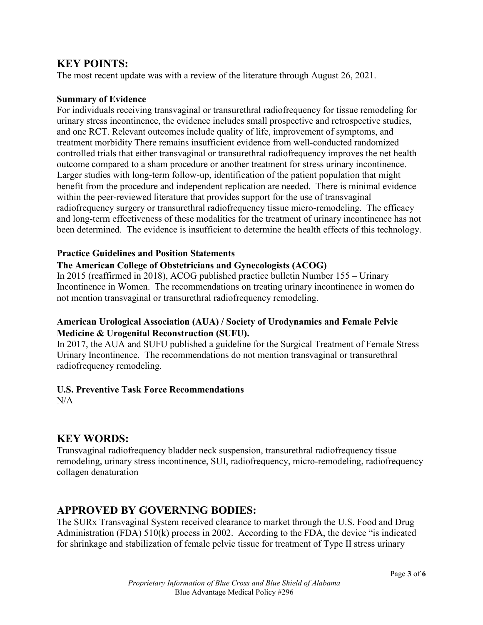### **KEY POINTS:**

The most recent update was with a review of the literature through August 26, 2021.

#### **Summary of Evidence**

For individuals receiving transvaginal or transurethral radiofrequency for tissue remodeling for urinary stress incontinence, the evidence includes small prospective and retrospective studies, and one RCT. Relevant outcomes include quality of life, improvement of symptoms, and treatment morbidity There remains insufficient evidence from well-conducted randomized controlled trials that either transvaginal or transurethral radiofrequency improves the net health outcome compared to a sham procedure or another treatment for stress urinary incontinence. Larger studies with long-term follow-up, identification of the patient population that might benefit from the procedure and independent replication are needed. There is minimal evidence within the peer-reviewed literature that provides support for the use of transvaginal radiofrequency surgery or transurethral radiofrequency tissue micro-remodeling. The efficacy and long-term effectiveness of these modalities for the treatment of urinary incontinence has not been determined. The evidence is insufficient to determine the health effects of this technology.

#### **Practice Guidelines and Position Statements**

#### **The American College of Obstetricians and Gynecologists (ACOG)**

In 2015 (reaffirmed in 2018), ACOG published practice bulletin Number 155 – Urinary Incontinence in Women. The recommendations on treating urinary incontinence in women do not mention transvaginal or transurethral radiofrequency remodeling.

#### **American Urological Association (AUA) / Society of Urodynamics and Female Pelvic Medicine & Urogenital Reconstruction (SUFU).**

In 2017, the AUA and SUFU published a guideline for the Surgical Treatment of Female Stress Urinary Incontinence. The recommendations do not mention transvaginal or transurethral radiofrequency remodeling.

#### **U.S. Preventive Task Force Recommendations**

 $N/A$ 

### **KEY WORDS:**

Transvaginal radiofrequency bladder neck suspension, transurethral radiofrequency tissue remodeling, urinary stress incontinence, SUI, radiofrequency, micro-remodeling, radiofrequency collagen denaturation

### **APPROVED BY GOVERNING BODIES:**

The SURx Transvaginal System received clearance to market through the U.S. Food and Drug Administration (FDA) 510(k) process in 2002. According to the FDA, the device "is indicated for shrinkage and stabilization of female pelvic tissue for treatment of Type II stress urinary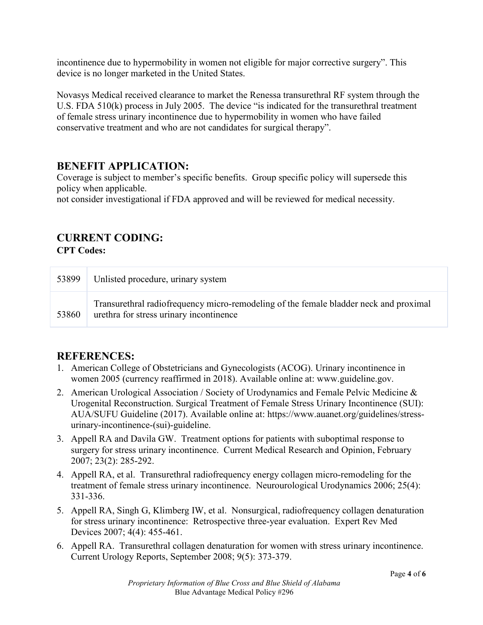incontinence due to hypermobility in women not eligible for major corrective surgery". This device is no longer marketed in the United States.

Novasys Medical received clearance to market the Renessa transurethral RF system through the U.S. FDA 510(k) process in July 2005. The device "is indicated for the transurethral treatment of female stress urinary incontinence due to hypermobility in women who have failed conservative treatment and who are not candidates for surgical therapy".

### **BENEFIT APPLICATION:**

Coverage is subject to member's specific benefits. Group specific policy will supersede this policy when applicable.

not consider investigational if FDA approved and will be reviewed for medical necessity.

## **CURRENT CODING:**

**CPT Codes:**

| 53899 | Unlisted procedure, urinary system                                                                                               |
|-------|----------------------------------------------------------------------------------------------------------------------------------|
| 53860 | Transurethral radiofrequency micro-remodeling of the female bladder neck and proximal<br>urethra for stress urinary incontinence |

### **REFERENCES:**

- 1. American College of Obstetricians and Gynecologists (ACOG). Urinary incontinence in women 2005 (currency reaffirmed in 2018). Available online at: www.guideline.gov.
- 2. American Urological Association / Society of Urodynamics and Female Pelvic Medicine & Urogenital Reconstruction. Surgical Treatment of Female Stress Urinary Incontinence (SUI): AUA/SUFU Guideline (2017). Available online at: https://www.auanet.org/guidelines/stressurinary-incontinence-(sui)-guideline.
- 3. Appell RA and Davila GW. Treatment options for patients with suboptimal response to surgery for stress urinary incontinence. Current Medical Research and Opinion, February 2007; 23(2): 285-292.
- 4. Appell RA, et al. Transurethral radiofrequency energy collagen micro-remodeling for the treatment of female stress urinary incontinence. Neurourological Urodynamics 2006; 25(4): 331-336.
- 5. Appell RA, Singh G, Klimberg IW, et al. Nonsurgical, radiofrequency collagen denaturation for stress urinary incontinence: Retrospective three-year evaluation. Expert Rev Med Devices 2007; 4(4): 455-461.
- 6. Appell RA. Transurethral collagen denaturation for women with stress urinary incontinence. Current Urology Reports, September 2008; 9(5): 373-379.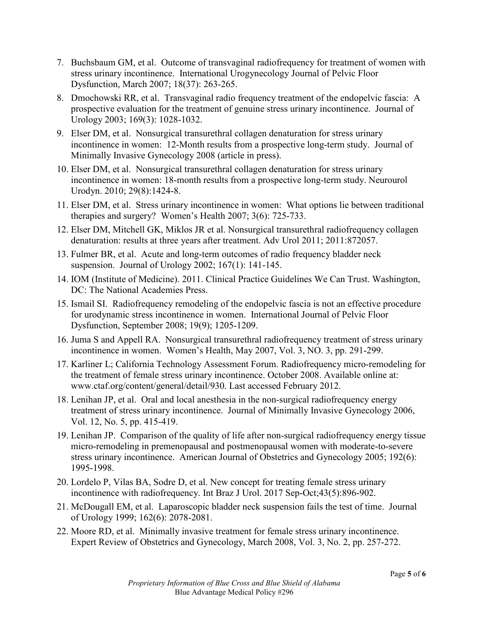- 7. Buchsbaum GM, et al. Outcome of transvaginal radiofrequency for treatment of women with stress urinary incontinence. International Urogynecology Journal of Pelvic Floor Dysfunction, March 2007; 18(37): 263-265.
- 8. Dmochowski RR, et al. Transvaginal radio frequency treatment of the endopelvic fascia: A prospective evaluation for the treatment of genuine stress urinary incontinence. Journal of Urology 2003; 169(3): 1028-1032.
- 9. Elser DM, et al. Nonsurgical transurethral collagen denaturation for stress urinary incontinence in women: 12-Month results from a prospective long-term study. Journal of Minimally Invasive Gynecology 2008 (article in press).
- 10. Elser DM, et al. Nonsurgical transurethral collagen denaturation for stress urinary incontinence in women: 18-month results from a prospective long-term study. Neurourol Urodyn. 2010; 29(8):1424-8.
- 11. Elser DM, et al. Stress urinary incontinence in women: What options lie between traditional therapies and surgery? Women's Health 2007; 3(6): 725-733.
- 12. Elser DM, Mitchell GK, Miklos JR et al. Nonsurgical transurethral radiofrequency collagen denaturation: results at three years after treatment. Adv Urol 2011; 2011:872057.
- 13. Fulmer BR, et al. Acute and long-term outcomes of radio frequency bladder neck suspension. Journal of Urology 2002; 167(1): 141-145.
- 14. IOM (Institute of Medicine). 2011. Clinical Practice Guidelines We Can Trust. Washington, DC: The National Academies Press.
- 15. Ismail SI. Radiofrequency remodeling of the endopelvic fascia is not an effective procedure for urodynamic stress incontinence in women. International Journal of Pelvic Floor Dysfunction, September 2008; 19(9); 1205-1209.
- 16. Juma S and Appell RA. Nonsurgical transurethral radiofrequency treatment of stress urinary incontinence in women. Women's Health, May 2007, Vol. 3, NO. 3, pp. 291-299.
- 17. Karliner L; California Technology Assessment Forum. Radiofrequency micro-remodeling for the treatment of female stress urinary incontinence. October 2008. Available online at: www.ctaf.org/content/general/detail/930. Last accessed February 2012.
- 18. Lenihan JP, et al. Oral and local anesthesia in the non-surgical radiofrequency energy treatment of stress urinary incontinence. Journal of Minimally Invasive Gynecology 2006, Vol. 12, No. 5, pp. 415-419.
- 19. Lenihan JP. Comparison of the quality of life after non-surgical radiofrequency energy tissue micro-remodeling in premenopausal and postmenopausal women with moderate-to-severe stress urinary incontinence. American Journal of Obstetrics and Gynecology 2005; 192(6): 1995-1998.
- 20. Lordelo P, Vilas BA, Sodre D, et al. New concept for treating female stress urinary incontinence with radiofrequency. Int Braz J Urol. 2017 Sep-Oct;43(5):896-902.
- 21. McDougall EM, et al. Laparoscopic bladder neck suspension fails the test of time. Journal of Urology 1999; 162(6): 2078-2081.
- 22. Moore RD, et al. Minimally invasive treatment for female stress urinary incontinence. Expert Review of Obstetrics and Gynecology, March 2008, Vol. 3, No. 2, pp. 257-272.